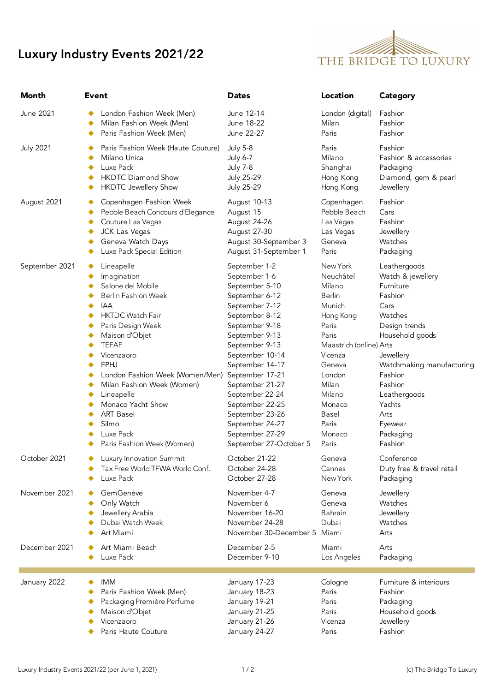## Luxury Industry Events 2021/22



| Month            | <b>Event</b>                                                                                                                                                                                                                                                                                                                                                                               | <b>Dates</b>                                                                                                                                                                                                                                                                                                                                                      | Location                                                                                                                                                                                                       | Category                                                                                                                                                                                                                                              |
|------------------|--------------------------------------------------------------------------------------------------------------------------------------------------------------------------------------------------------------------------------------------------------------------------------------------------------------------------------------------------------------------------------------------|-------------------------------------------------------------------------------------------------------------------------------------------------------------------------------------------------------------------------------------------------------------------------------------------------------------------------------------------------------------------|----------------------------------------------------------------------------------------------------------------------------------------------------------------------------------------------------------------|-------------------------------------------------------------------------------------------------------------------------------------------------------------------------------------------------------------------------------------------------------|
| June 2021        | London Fashion Week (Men)                                                                                                                                                                                                                                                                                                                                                                  | June 12-14                                                                                                                                                                                                                                                                                                                                                        | London (digital)                                                                                                                                                                                               | Fashion                                                                                                                                                                                                                                               |
|                  | Milan Fashion Week (Men)                                                                                                                                                                                                                                                                                                                                                                   | June 18-22                                                                                                                                                                                                                                                                                                                                                        | Milan                                                                                                                                                                                                          | Fashion                                                                                                                                                                                                                                               |
|                  | Paris Fashion Week (Men)                                                                                                                                                                                                                                                                                                                                                                   | June 22-27                                                                                                                                                                                                                                                                                                                                                        | Paris                                                                                                                                                                                                          | Fashion                                                                                                                                                                                                                                               |
| <b>July 2021</b> | Paris Fashion Week (Haute Couture)                                                                                                                                                                                                                                                                                                                                                         | <b>July 5-8</b>                                                                                                                                                                                                                                                                                                                                                   | Paris                                                                                                                                                                                                          | Fashion                                                                                                                                                                                                                                               |
|                  | Milano Unica                                                                                                                                                                                                                                                                                                                                                                               | July 6-7                                                                                                                                                                                                                                                                                                                                                          | Milano                                                                                                                                                                                                         | Fashion & accessories                                                                                                                                                                                                                                 |
|                  | Luxe Pack                                                                                                                                                                                                                                                                                                                                                                                  | <b>July 7-8</b>                                                                                                                                                                                                                                                                                                                                                   | Shanghai                                                                                                                                                                                                       | Packaging                                                                                                                                                                                                                                             |
|                  | <b>HKDTC Diamond Show</b>                                                                                                                                                                                                                                                                                                                                                                  | <b>July 25-29</b>                                                                                                                                                                                                                                                                                                                                                 | Hong Kong                                                                                                                                                                                                      | Diamond, gem & pearl                                                                                                                                                                                                                                  |
|                  | <b>HKDTC Jewellery Show</b>                                                                                                                                                                                                                                                                                                                                                                | <b>July 25-29</b>                                                                                                                                                                                                                                                                                                                                                 | Hong Kong                                                                                                                                                                                                      | Jewellery                                                                                                                                                                                                                                             |
| August 2021      | Copenhagen Fashion Week                                                                                                                                                                                                                                                                                                                                                                    | August 10-13                                                                                                                                                                                                                                                                                                                                                      | Copenhagen                                                                                                                                                                                                     | Fashion                                                                                                                                                                                                                                               |
|                  | Pebble Beach Concours d'Elegance                                                                                                                                                                                                                                                                                                                                                           | August 15                                                                                                                                                                                                                                                                                                                                                         | Pebble Beach                                                                                                                                                                                                   | Cars                                                                                                                                                                                                                                                  |
|                  | Couture Las Vegas                                                                                                                                                                                                                                                                                                                                                                          | August 24-26                                                                                                                                                                                                                                                                                                                                                      | Las Vegas                                                                                                                                                                                                      | Fashion                                                                                                                                                                                                                                               |
|                  | JCK Las Vegas                                                                                                                                                                                                                                                                                                                                                                              | August 27-30                                                                                                                                                                                                                                                                                                                                                      | Las Vegas                                                                                                                                                                                                      | Jewellery                                                                                                                                                                                                                                             |
|                  | Geneva Watch Days                                                                                                                                                                                                                                                                                                                                                                          | August 30-September 3                                                                                                                                                                                                                                                                                                                                             | Geneva                                                                                                                                                                                                         | Watches                                                                                                                                                                                                                                               |
|                  | Luxe Pack Special Edition                                                                                                                                                                                                                                                                                                                                                                  | August 31-September 1                                                                                                                                                                                                                                                                                                                                             | Paris                                                                                                                                                                                                          | Packaging                                                                                                                                                                                                                                             |
| September 2021   | Lineapelle<br>◆<br>Imagination<br>Salone del Mobile<br><b>Berlin Fashion Week</b><br><b>IAA</b><br><b>HKTDC Watch Fair</b><br>Paris Design Week<br>Maison d'Objet<br><b>TEFAF</b><br>Vicenzaoro<br><b>EPHJ</b><br>London Fashion Week (Women/Men)<br>Milan Fashion Week (Women)<br>Lineapelle<br>Monaco Yacht Show<br><b>ART Basel</b><br>Silmo<br>Luxe Pack<br>Paris Fashion Week (Women) | September 1-2<br>September 1-6<br>September 5-10<br>September 6-12<br>September 7-12<br>September 8-12<br>September 9-18<br>September 9-13<br>September 9-13<br>September 10-14<br>September 14-17<br>September 17-21<br>September 21-27<br>September 22-24<br>September 22-25<br>September 23-26<br>September 24-27<br>September 27-29<br>September 27-October 5 | New York<br>Neuchâtel<br>Milano<br>Berlin<br>Munich<br>Hong Kong<br>Paris<br>Paris<br>Maastrich (online) Arts<br>Vicenza<br>Geneva<br>London<br>Milan<br>Milano<br>Monaco<br>Basel<br>Paris<br>Monaco<br>Paris | Leathergoods<br>Watch & jewellery<br>Furniture<br>Fashion<br>Cars<br>Watches<br>Design trends<br>Household goods<br>Jewellery<br>Watchmaking manufacturing<br>Fashion<br>Fashion<br>Leathergoods<br>Yachts<br>Arts<br>Eyewear<br>Packaging<br>Fashion |
| October 2021     | Luxury Innovation Summit                                                                                                                                                                                                                                                                                                                                                                   | October 21-22                                                                                                                                                                                                                                                                                                                                                     | Geneva                                                                                                                                                                                                         | Conference                                                                                                                                                                                                                                            |
|                  | Tax Free World TFWA World Conf.                                                                                                                                                                                                                                                                                                                                                            | October 24-28                                                                                                                                                                                                                                                                                                                                                     | Cannes                                                                                                                                                                                                         | Duty free & travel retail                                                                                                                                                                                                                             |
|                  | Luxe Pack                                                                                                                                                                                                                                                                                                                                                                                  | October 27-28                                                                                                                                                                                                                                                                                                                                                     | New York                                                                                                                                                                                                       | Packaging                                                                                                                                                                                                                                             |
| November 2021    | GemGenève                                                                                                                                                                                                                                                                                                                                                                                  | November 4-7                                                                                                                                                                                                                                                                                                                                                      | Geneva                                                                                                                                                                                                         | Jewellery                                                                                                                                                                                                                                             |
|                  | Only Watch                                                                                                                                                                                                                                                                                                                                                                                 | November 6                                                                                                                                                                                                                                                                                                                                                        | Geneva                                                                                                                                                                                                         | Watches                                                                                                                                                                                                                                               |
|                  | Jewellery Arabia                                                                                                                                                                                                                                                                                                                                                                           | November 16-20                                                                                                                                                                                                                                                                                                                                                    | Bahrain                                                                                                                                                                                                        | Jewellery                                                                                                                                                                                                                                             |
|                  | Dubai Watch Week                                                                                                                                                                                                                                                                                                                                                                           | November 24-28                                                                                                                                                                                                                                                                                                                                                    | Dubai                                                                                                                                                                                                          | Watches                                                                                                                                                                                                                                               |
|                  | Art Miami                                                                                                                                                                                                                                                                                                                                                                                  | November 30-December 5                                                                                                                                                                                                                                                                                                                                            | Miami                                                                                                                                                                                                          | Arts                                                                                                                                                                                                                                                  |
| December 2021    | Art Miami Beach                                                                                                                                                                                                                                                                                                                                                                            | December 2-5                                                                                                                                                                                                                                                                                                                                                      | Miami                                                                                                                                                                                                          | Arts                                                                                                                                                                                                                                                  |
|                  | Luxe Pack                                                                                                                                                                                                                                                                                                                                                                                  | December 9-10                                                                                                                                                                                                                                                                                                                                                     | Los Angeles                                                                                                                                                                                                    | Packaging                                                                                                                                                                                                                                             |
| January 2022     | <b>IMM</b>                                                                                                                                                                                                                                                                                                                                                                                 | January 17-23                                                                                                                                                                                                                                                                                                                                                     | Cologne                                                                                                                                                                                                        | Furniture & interiours                                                                                                                                                                                                                                |
|                  | Paris Fashion Week (Men)                                                                                                                                                                                                                                                                                                                                                                   | January 18-23                                                                                                                                                                                                                                                                                                                                                     | Paris                                                                                                                                                                                                          | Fashion                                                                                                                                                                                                                                               |
|                  | Packaging Première Perfume                                                                                                                                                                                                                                                                                                                                                                 | January 19-21                                                                                                                                                                                                                                                                                                                                                     | Paris                                                                                                                                                                                                          | Packaging                                                                                                                                                                                                                                             |
|                  | Maison d'Objet                                                                                                                                                                                                                                                                                                                                                                             | January 21-25                                                                                                                                                                                                                                                                                                                                                     | Paris                                                                                                                                                                                                          | Household goods                                                                                                                                                                                                                                       |
|                  | Vicenzaoro                                                                                                                                                                                                                                                                                                                                                                                 | January 21-26                                                                                                                                                                                                                                                                                                                                                     | Vicenza                                                                                                                                                                                                        | Jewellery                                                                                                                                                                                                                                             |
|                  | Paris Haute Couture                                                                                                                                                                                                                                                                                                                                                                        | January 24-27                                                                                                                                                                                                                                                                                                                                                     | Paris                                                                                                                                                                                                          | Fashion                                                                                                                                                                                                                                               |